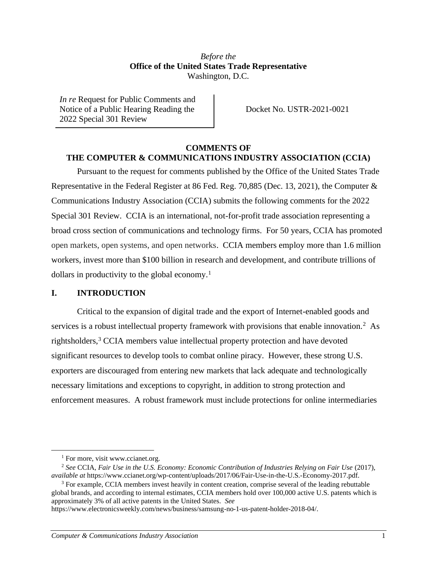## *Before the* **Office of the United States Trade Representative** Washington, D.C.

*In re* Request for Public Comments and Notice of a Public Hearing Reading the 2022 Special 301 Review

Docket No. USTR-2021-0021

## **COMMENTS OF THE COMPUTER & COMMUNICATIONS INDUSTRY ASSOCIATION (CCIA)**

Pursuant to the request for comments published by the Office of the United States Trade Representative in the Federal Register at 86 Fed. Reg. 70,885 (Dec. 13, 2021), the Computer & Communications Industry Association (CCIA) submits the following comments for the 2022 Special 301 Review. CCIA is an international, not-for-profit trade association representing a broad cross section of communications and technology firms. For 50 years, CCIA has promoted open markets, open systems, and open networks. CCIA members employ more than 1.6 million workers, invest more than \$100 billion in research and development, and contribute trillions of dollars in productivity to the global economy.<sup>1</sup>

## **I. INTRODUCTION**

Critical to the expansion of digital trade and the export of Internet-enabled goods and services is a robust intellectual property framework with provisions that enable innovation.<sup>2</sup> As rightsholders,<sup>3</sup> CCIA members value intellectual property protection and have devoted significant resources to develop tools to combat online piracy. However, these strong U.S. exporters are discouraged from entering new markets that lack adequate and technologically necessary limitations and exceptions to copyright, in addition to strong protection and enforcement measures. A robust framework must include protections for online intermediaries

<sup>&</sup>lt;sup>1</sup> For more, visit www.ccianet.org.

<sup>2</sup> *See* CCIA, *Fair Use in the U.S. Economy: Economic Contribution of Industries Relying on Fair Use* (2017), *available at* https://www.ccianet.org/wp-content/uploads/2017/06/Fair-Use-in-the-U.S.-Economy-2017.pdf.

<sup>&</sup>lt;sup>3</sup> For example, CCIA members invest heavily in content creation, comprise several of the leading rebuttable global brands, and according to internal estimates, CCIA members hold over 100,000 active U.S. patents which is approximately 3% of all active patents in the United States. *See*

https://www.electronicsweekly.com/news/business/samsung-no-1-us-patent-holder-2018-04/.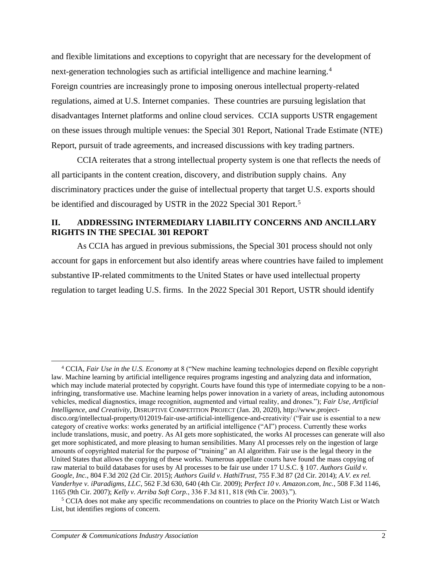and flexible limitations and exceptions to copyright that are necessary for the development of next-generation technologies such as artificial intelligence and machine learning.<sup>4</sup> Foreign countries are increasingly prone to imposing onerous intellectual property-related regulations, aimed at U.S. Internet companies. These countries are pursuing legislation that disadvantages Internet platforms and online cloud services. CCIA supports USTR engagement on these issues through multiple venues: the Special 301 Report, National Trade Estimate (NTE) Report, pursuit of trade agreements, and increased discussions with key trading partners.

CCIA reiterates that a strong intellectual property system is one that reflects the needs of all participants in the content creation, discovery, and distribution supply chains. Any discriminatory practices under the guise of intellectual property that target U.S. exports should be identified and discouraged by USTR in the 2022 Special 301 Report.<sup>5</sup>

# **II. ADDRESSING INTERMEDIARY LIABILITY CONCERNS AND ANCILLARY RIGHTS IN THE SPECIAL 301 REPORT**

As CCIA has argued in previous submissions, the Special 301 process should not only account for gaps in enforcement but also identify areas where countries have failed to implement substantive IP-related commitments to the United States or have used intellectual property regulation to target leading U.S. firms. In the 2022 Special 301 Report, USTR should identify

<sup>4</sup> CCIA, *Fair Use in the U.S. Economy* at 8 ("New machine learning technologies depend on flexible copyright law. Machine learning by artificial intelligence requires programs ingesting and analyzing data and information, which may include material protected by copyright. Courts have found this type of intermediate copying to be a noninfringing, transformative use. Machine learning helps power innovation in a variety of areas, including autonomous vehicles, medical diagnostics, image recognition, augmented and virtual reality, and drones."); *Fair Use, Artificial Intelligence, and Creativity*, DISRUPTIVE COMPETITION PROJECT (Jan. 20, 2020), http://www.projectdisco.org/intellectual-property/012019-fair-use-artificial-intelligence-and-creativity/ ("Fair use is essential to a new category of creative works: works generated by an artificial intelligence ("AI") process. Currently these works include translations, music, and poetry. As AI gets more sophisticated, the works AI processes can generate will also get more sophisticated, and more pleasing to human sensibilities. Many AI processes rely on the ingestion of large amounts of copyrighted material for the purpose of "training" an AI algorithm. Fair use is the legal theory in the United States that allows the copying of these works. Numerous appellate courts have found the mass copying of raw material to build databases for uses by AI processes to be fair use under 17 U.S.C. § 107. *Authors Guild v. Google, Inc.*, 804 F.3d 202 (2d Cir. 2015); *Authors Guild v. HathiTrust*, 755 F.3d 87 (2d Cir. 2014); *A.V. ex rel. Vanderhye v. iParadigms, LLC*, 562 F.3d 630, 640 (4th Cir. 2009); *Perfect 10 v. Amazon.com, Inc.*, 508 F.3d 1146, 1165 (9th Cir. 2007); *Kelly v. Arriba Soft Corp.*, 336 F.3d 811, 818 (9th Cir. 2003).").

<sup>5</sup> CCIA does not make any specific recommendations on countries to place on the Priority Watch List or Watch List, but identifies regions of concern.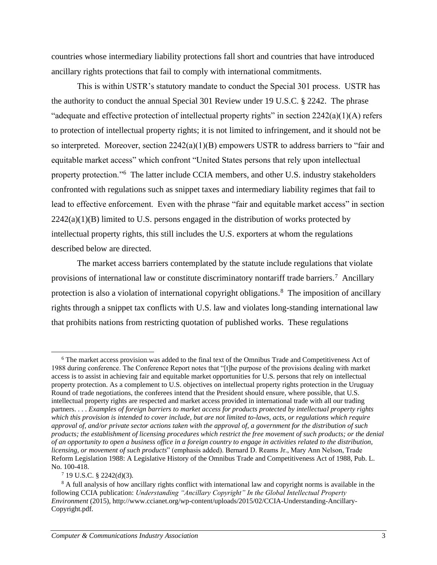countries whose intermediary liability protections fall short and countries that have introduced ancillary rights protections that fail to comply with international commitments.

This is within USTR's statutory mandate to conduct the Special 301 process. USTR has the authority to conduct the annual Special 301 Review under 19 U.S.C. § 2242. The phrase "adequate and effective protection of intellectual property rights" in section  $2242(a)(1)(A)$  refers to protection of intellectual property rights; it is not limited to infringement, and it should not be so interpreted. Moreover, section 2242(a)(1)(B) empowers USTR to address barriers to "fair and equitable market access" which confront "United States persons that rely upon intellectual property protection."<sup>6</sup> The latter include CCIA members, and other U.S. industry stakeholders confronted with regulations such as snippet taxes and intermediary liability regimes that fail to lead to effective enforcement. Even with the phrase "fair and equitable market access" in section  $2242(a)(1)(B)$  limited to U.S. persons engaged in the distribution of works protected by intellectual property rights, this still includes the U.S. exporters at whom the regulations described below are directed.

The market access barriers contemplated by the statute include regulations that violate provisions of international law or constitute discriminatory nontariff trade barriers.<sup>7</sup> Ancillary protection is also a violation of international copyright obligations.<sup>8</sup> The imposition of ancillary rights through a snippet tax conflicts with U.S. law and violates long-standing international law that prohibits nations from restricting quotation of published works. These regulations

<sup>6</sup> The market access provision was added to the final text of the Omnibus Trade and Competitiveness Act of 1988 during conference. The Conference Report notes that "[t]he purpose of the provisions dealing with market access is to assist in achieving fair and equitable market opportunities for U.S. persons that rely on intellectual property protection. As a complement to U.S. objectives on intellectual property rights protection in the Uruguay Round of trade negotiations, the conferees intend that the President should ensure, where possible, that U.S. intellectual property rights are respected and market access provided in international trade with all our trading partners. . . . *Examples of foreign barriers to market access for products protected by intellectual property rights which this provision is intended to cover include, but are not limited to-laws, acts, or regulations which require approval of, and/or private sector actions taken with the approval of, a government for the distribution of such products; the establishment of licensing procedures which restrict the free movement of such products; or the denial of an opportunity to open a business office in a foreign country to engage in activities related to the distribution, licensing, or movement of such products*" (emphasis added). Bernard D. Reams Jr., Mary Ann Nelson, Trade Reform Legislation 1988: A Legislative History of the Omnibus Trade and Competitiveness Act of 1988, Pub. L. No. 100-418.

<sup>7</sup> 19 U.S.C. § 2242(d)(3).

<sup>&</sup>lt;sup>8</sup> A full analysis of how ancillary rights conflict with international law and copyright norms is available in the following CCIA publication: *Understanding "Ancillary Copyright" In the Global Intellectual Property Environment* (2015), http://www.ccianet.org/wp-content/uploads/2015/02/CCIA-Understanding-Ancillary-Copyright.pdf.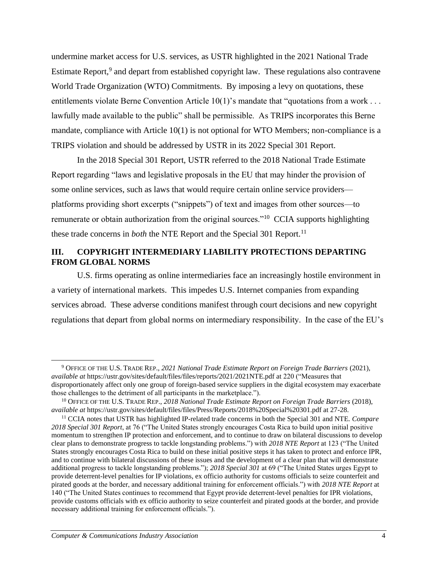undermine market access for U.S. services, as USTR highlighted in the 2021 National Trade Estimate Report,<sup>9</sup> and depart from established copyright law. These regulations also contravene World Trade Organization (WTO) Commitments. By imposing a levy on quotations, these entitlements violate Berne Convention Article 10(1)'s mandate that "quotations from a work . . . lawfully made available to the public" shall be permissible. As TRIPS incorporates this Berne mandate, compliance with Article 10(1) is not optional for WTO Members; non-compliance is a TRIPS violation and should be addressed by USTR in its 2022 Special 301 Report.

In the 2018 Special 301 Report, USTR referred to the 2018 National Trade Estimate Report regarding "laws and legislative proposals in the EU that may hinder the provision of some online services, such as laws that would require certain online service providers platforms providing short excerpts ("snippets") of text and images from other sources—to remunerate or obtain authorization from the original sources."<sup>10</sup> CCIA supports highlighting these trade concerns in *both* the NTE Report and the Special 301 Report.<sup>11</sup>

# **III. COPYRIGHT INTERMEDIARY LIABILITY PROTECTIONS DEPARTING FROM GLOBAL NORMS**

U.S. firms operating as online intermediaries face an increasingly hostile environment in a variety of international markets. This impedes U.S. Internet companies from expanding services abroad. These adverse conditions manifest through court decisions and new copyright regulations that depart from global norms on intermediary responsibility. In the case of the EU's

<sup>9</sup> OFFICE OF THE U.S. TRADE REP., *2021 National Trade Estimate Report on Foreign Trade Barriers* (2021), *available at* https://ustr.gov/sites/default/files/files/reports/2021/2021NTE.pdf at 220 ("Measures that disproportionately affect only one group of foreign-based service suppliers in the digital ecosystem may exacerbate those challenges to the detriment of all participants in the marketplace.").

<sup>10</sup> OFFICE OF THE U.S. TRADE REP., *2018 National Trade Estimate Report on Foreign Trade Barriers* (2018), *available at* https://ustr.gov/sites/default/files/files/Press/Reports/2018%20Special%20301.pdf at 27-28.

<sup>11</sup> CCIA notes that USTR has highlighted IP-related trade concerns in both the Special 301 and NTE. *Compare 2018 Special 301 Report*, at 76 ("The United States strongly encourages Costa Rica to build upon initial positive momentum to strengthen IP protection and enforcement, and to continue to draw on bilateral discussions to develop clear plans to demonstrate progress to tackle longstanding problems.") with *2018 NTE Report* at 123 ("The United States strongly encourages Costa Rica to build on these initial positive steps it has taken to protect and enforce IPR, and to continue with bilateral discussions of these issues and the development of a clear plan that will demonstrate additional progress to tackle longstanding problems."); *2018 Special 301* at 69 ("The United States urges Egypt to provide deterrent-level penalties for IP violations, ex officio authority for customs officials to seize counterfeit and pirated goods at the border, and necessary additional training for enforcement officials.") with *2018 NTE Report* at 140 ("The United States continues to recommend that Egypt provide deterrent-level penalties for IPR violations, provide customs officials with ex officio authority to seize counterfeit and pirated goods at the border, and provide necessary additional training for enforcement officials.").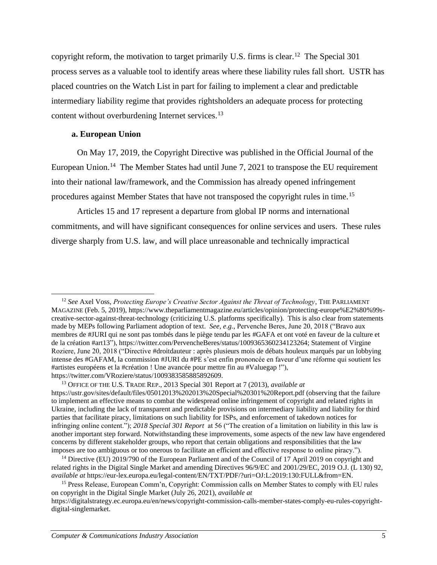copyright reform, the motivation to target primarily U.S. firms is clear.<sup>12</sup> The Special 301 process serves as a valuable tool to identify areas where these liability rules fall short. USTR has placed countries on the Watch List in part for failing to implement a clear and predictable intermediary liability regime that provides rightsholders an adequate process for protecting content without overburdening Internet services.<sup>13</sup>

#### **a. European Union**

On May 17, 2019, the Copyright Directive was published in the Official Journal of the European Union.<sup>14</sup> The Member States had until June 7, 2021 to transpose the EU requirement into their national law/framework, and the Commission has already opened infringement procedures against Member States that have not transposed the copyright rules in time.<sup>15</sup>

Articles 15 and 17 represent a departure from global IP norms and international commitments, and will have significant consequences for online services and users. These rules diverge sharply from U.S. law, and will place unreasonable and technically impractical

<sup>12</sup> *See* Axel Voss, *Protecting Europe's Creative Sector Against the Threat of Technology*, THE PARLIAMENT MAGAZINE (Feb. 5, 2019), https://www.theparliamentmagazine.eu/articles/opinion/protecting-europe%E2%80%99screative-sector-against-threat-technology (criticizing U.S. platforms specifically). This is also clear from statements made by MEPs following Parliament adoption of text. *See*, *e*.*g.*, Pervenche Beres, June 20, 2018 ("Bravo aux membres d[e](https://twitter.com/hashtag/JURI?src=hash) #JURI qui ne sont pas tombés dans le piège tendu par les [#GAFA](https://twitter.com/hashtag/GAFA?src=hash) et ont voté en faveur de la culture et de la création [#](https://twitter.com/hashtag/art13?src=hash)art13"), https://twitter.com/PervencheBeres/status/1009365360234123264; Statement of Virgine Roziere, June 20, 2018 ("Directive [#droitdauteur](https://twitter.com/hashtag/droitdauteur?src=hash) : après plusieurs mois de débats houleux marqués par un lobbying intense des [#GAFAM,](https://twitter.com/hashtag/GAFAM?src=hash) la commission [#JURI](https://twitter.com/hashtag/JURI?src=hash) du [#PE](https://twitter.com/hashtag/PE?src=hash) s'est enfin prononcée en faveur d'une réforme qui soutient le[s](https://twitter.com/hashtag/artistes?src=hash) [#artistes](https://twitter.com/hashtag/artistes?src=hash) européens et la [#création](https://twitter.com/hashtag/cr%C3%A9ation?src=hash) ! Une avancée pour mettre fin au [#Valuegap](https://twitter.com/hashtag/Valuegap?src=hash) !"), https://twitter.com/VRoziere/status/1009383585885892609.

<sup>13</sup> OFFICE OF THE U.S. TRADE REP., 2013 Special 301 Report at 7 (2013), *available at*  https://ustr.gov/sites/default/files/05012013%202013%20Special%20301%20Report.pdf (observing that the failure to implement an effective means to combat the widespread online infringement of copyright and related rights in Ukraine, including the lack of transparent and predictable provisions on intermediary liability and liability for third parties that facilitate piracy, limitations on such liability for ISPs, and enforcement of takedown notices for infringing online content."); *2018 Special 301 Report* at 56 ("The creation of a limitation on liability in this law is another important step forward. Notwithstanding these improvements, some aspects of the new law have engendered concerns by different stakeholder groups, who report that certain obligations and responsibilities that the law imposes are too ambiguous or too onerous to facilitate an efficient and effective response to online piracy.").

<sup>&</sup>lt;sup>14</sup> Directive (EU) 2019/790 of the European Parliament and of the Council of 17 April 2019 on copyright and related rights in the Digital Single Market and amending Directives 96/9/EC and 2001/29/EC, 2019 O.J. (L 130) 92, *available at* https://eur-lex.europa.eu/legal-content/EN/TXT/PDF/?uri=OJ:L:2019:130:FULL&from=EN.

<sup>&</sup>lt;sup>15</sup> Press Release, European Comm'n, Copyright: Commission calls on Member States to comply with EU rules on copyright in the Digital Single Market (July 26, 2021), *available at*

https://digitalstrategy.ec.europa.eu/en/news/copyright-commission-calls-member-states-comply-eu-rules-copyrightdigital-singlemarket.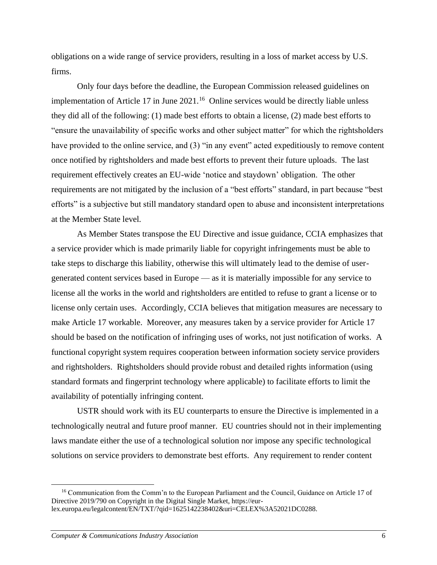obligations on a wide range of service providers, resulting in a loss of market access by U.S. firms.

Only four days before the deadline, the European Commission released guidelines on implementation of Article 17 in June 2021.<sup>16</sup> Online services would be directly liable unless they did all of the following: (1) made best efforts to obtain a license, (2) made best efforts to "ensure the unavailability of specific works and other subject matter" for which the rightsholders have provided to the online service, and (3) "in any event" acted expeditiously to remove content once notified by rightsholders and made best efforts to prevent their future uploads. The last requirement effectively creates an EU-wide 'notice and staydown' obligation. The other requirements are not mitigated by the inclusion of a "best efforts" standard, in part because "best efforts" is a subjective but still mandatory standard open to abuse and inconsistent interpretations at the Member State level.

As Member States transpose the EU Directive and issue guidance, CCIA emphasizes that a service provider which is made primarily liable for copyright infringements must be able to take steps to discharge this liability, otherwise this will ultimately lead to the demise of usergenerated content services based in Europe — as it is materially impossible for any service to license all the works in the world and rightsholders are entitled to refuse to grant a license or to license only certain uses. Accordingly, CCIA believes that mitigation measures are necessary to make Article 17 workable. Moreover, any measures taken by a service provider for Article 17 should be based on the notification of infringing uses of works, not just notification of works. A functional copyright system requires cooperation between information society service providers and rightsholders. Rightsholders should provide robust and detailed rights information (using standard formats and fingerprint technology where applicable) to facilitate efforts to limit the availability of potentially infringing content.

USTR should work with its EU counterparts to ensure the Directive is implemented in a technologically neutral and future proof manner. EU countries should not in their implementing laws mandate either the use of a technological solution nor impose any specific technological solutions on service providers to demonstrate best efforts. Any requirement to render content

<sup>&</sup>lt;sup>16</sup> Communication from the Comm'n to the European Parliament and the Council, Guidance on Article 17 of Directive 2019/790 on Copyright in the Digital Single Market, https://eurlex.europa.eu/legalcontent/EN/TXT/?qid=1625142238402&uri=CELEX%3A52021DC0288.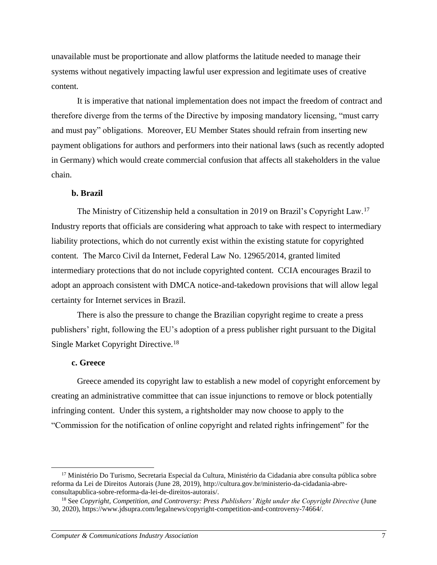unavailable must be proportionate and allow platforms the latitude needed to manage their systems without negatively impacting lawful user expression and legitimate uses of creative content.

It is imperative that national implementation does not impact the freedom of contract and therefore diverge from the terms of the Directive by imposing mandatory licensing, "must carry and must pay" obligations. Moreover, EU Member States should refrain from inserting new payment obligations for authors and performers into their national laws (such as recently adopted in Germany) which would create commercial confusion that affects all stakeholders in the value chain.

## **b. Brazil**

The Ministry of Citizenship held a consultation in 2019 on Brazil's Copyright Law.<sup>17</sup> Industry reports that officials are considering what approach to take with respect to intermediary liability protections, which do not currently exist within the existing statute for copyrighted content. The Marco Civil da Internet, Federal Law No. 12965/2014, granted limited intermediary protections that do not include copyrighted content. CCIA encourages Brazil to adopt an approach consistent with DMCA notice-and-takedown provisions that will allow legal certainty for Internet services in Brazil.

There is also the pressure to change the Brazilian copyright regime to create a press publishers' right, following the EU's adoption of a press publisher right pursuant to the Digital Single Market Copyright Directive.<sup>18</sup>

#### **c. Greece**

Greece amended its copyright law to establish a new model of copyright enforcement by creating an administrative committee that can issue injunctions to remove or block potentially infringing content. Under this system, a rightsholder may now choose to apply to the "Commission for the notification of online copyright and related rights infringement" for the

<sup>&</sup>lt;sup>17</sup> Ministério Do Turismo, Secretaria Especial da Cultura, Ministério da Cidadania abre consulta pública sobre reforma da Lei de Direitos Autorais (June 28, 2019), http://cultura.gov.br/ministerio-da-cidadania-abreconsultapublica-sobre-reforma-da-lei-de-direitos-autorais/.

<sup>18</sup> See *Copyright, Competition, and Controversy: Press Publishers' Right under the Copyright Directive* (June 30, 2020), https://www.jdsupra.com/legalnews/copyright-competition-and-controversy-74664/.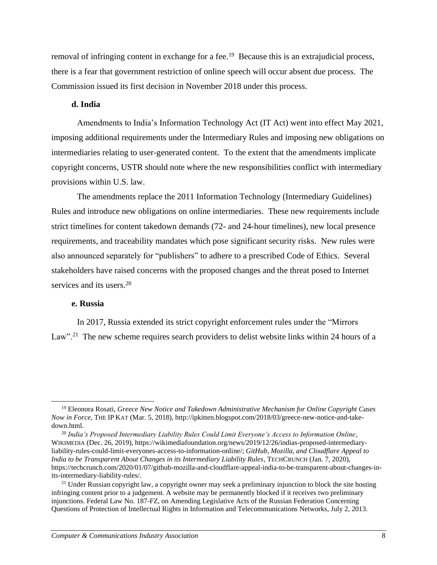removal of infringing content in exchange for a fee.<sup>19</sup> Because this is an extrajudicial process, there is a fear that government restriction of online speech will occur absent due process. The Commission issued its first decision in November 2018 under this process.

#### **d. India**

Amendments to India's Information Technology Act (IT Act) went into effect May 2021, imposing additional requirements under the Intermediary Rules and imposing new obligations on intermediaries relating to user-generated content. To the extent that the amendments implicate copyright concerns, USTR should note where the new responsibilities conflict with intermediary provisions within U.S. law.

The amendments replace the 2011 Information Technology (Intermediary Guidelines) Rules and introduce new obligations on online intermediaries. These new requirements include strict timelines for content takedown demands (72- and 24-hour timelines), new local presence requirements, and traceability mandates which pose significant security risks. New rules were also announced separately for "publishers" to adhere to a prescribed Code of Ethics. Several stakeholders have raised concerns with the proposed changes and the threat posed to Internet services and its users.<sup>20</sup>

### **e. Russia**

In 2017, Russia extended its strict copyright enforcement rules under the "Mirrors Law".<sup>21</sup> The new scheme requires search providers to delist website links within 24 hours of a

<sup>19</sup> Eleonora Rosati, *Greece New Notice and Takedown Administrative Mechanism for Online Copyright Cases Now in Force*, THE IP KAT (Mar. 5, 2018), http://ipkitten.blogspot.com/2018/03/greece-new-notice-and-takedown.html.

<sup>20</sup> *India's Proposed Intermediary Liability Rules Could Limit Everyone's Access to Information Online*, WIKIMEDIA (Dec. 26, 2019), https://wikimediafoundation.org/news/2019/12/26/indias-proposed-intermediaryliability-rules-could-limit-everyones-access-to-information-online/; *GitHub, Mozilla, and Cloudflare Appeal to India to be Transparent About Changes in its Intermediary Liability Rules*, TECHCRUNCH (Jan. 7, 2020), https://techcrunch.com/2020/01/07/github-mozilla-and-cloudflare-appeal-india-to-be-transparent-about-changes-inits-intermediary-liability-rules/.

<sup>&</sup>lt;sup>21</sup> Under Russian copyright law, a copyright owner may seek a preliminary injunction to block the site hosting infringing content prior to a judgement. A website may be permanently blocked if it receives two preliminary injunctions. Federal Law No. 187-FZ, on Amending Legislative Acts of the Russian Federation Concerning Questions of Protection of Intellectual Rights in Information and Telecommunications Networks, July 2, 2013.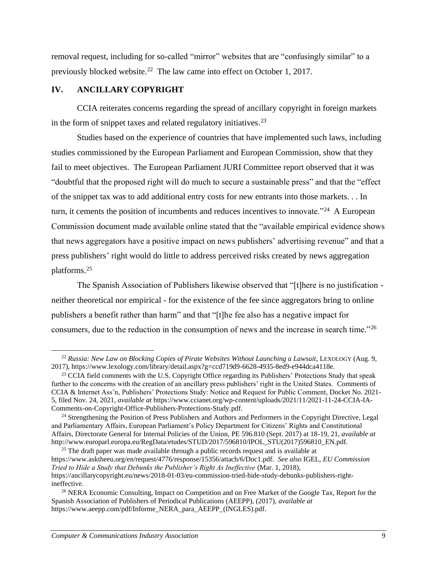removal request, including for so-called "mirror" websites that are "confusingly similar" to a previously blocked website.<sup>22</sup> The law came into effect on October 1, 2017.

## **IV. ANCILLARY COPYRIGHT**

CCIA reiterates concerns regarding the spread of ancillary copyright in foreign markets in the form of snippet taxes and related regulatory initiatives.<sup>23</sup>

Studies based on the experience of countries that have implemented such laws, including studies commissioned by the European Parliament and European Commission, show that they fail to meet objectives. The European Parliament JURI Committee report observed that it was "doubtful that the proposed right will do much to secure a sustainable press" and that the "effect of the snippet tax was to add additional entry costs for new entrants into those markets. . . In turn, it cements the position of incumbents and reduces incentives to innovate."<sup>24</sup> A European Commission document made available online stated that the "available empirical evidence shows that news aggregators have a positive impact on news publishers' advertising revenue" and that a press publishers' right would do little to address perceived risks created by news aggregation platforms.<sup>25</sup>

The Spanish Association of Publishers likewise observed that "[t]here is no justification neither theoretical nor empirical - for the existence of the fee since aggregators bring to online publishers a benefit rather than harm" and that "[t]he fee also has a negative impact for consumers, due to the reduction in the consumption of news and the increase in search time."<sup>26</sup>

<sup>&</sup>lt;sup>22</sup> Russia: New Law on Blocking Copies of Pirate Websites Without Launching a Lawsuit, LEXOLOGY (Aug. 9, 2017), https://www.lexology.com/library/detail.aspx?g=ccd719d9-6628-4935-8ed9-e944dca4118e.

<sup>&</sup>lt;sup>23</sup> CCIA field comments with the U.S. Copyright Office regarding its Publishers' Protections Study that speak further to the concerns with the creation of an ancillary press publishers' right in the United States. Comments of CCIA & Internet Ass'n, Publishers' Protections Study: Notice and Request for Public Comment, Docket No. 2021- 5, filed Nov. 24, 2021, *available at* https://www.ccianet.org/wp-content/uploads/2021/11/2021-11-24-CCIA-IA-Comments-on-Copyright-Office-Publishers-Protections-Study.pdf.

<sup>&</sup>lt;sup>24</sup> Strengthening the Position of Press Publishers and Authors and Performers in the Copyright Directive, Legal and Parliamentary Affairs, European Parliament's Policy Department for Citizens' Rights and Constitutional Affairs, Directorate General for Internal Policies of the Union, PE 596.810 (Sept. 2017) at 18-19, 21, *available at* http://www.europarl.europa.eu/RegData/etudes/STUD/2017/596810/IPOL\_STU(2017)596810\_EN.pdf.

 $25$  The draft paper was made available through a public records request and is available at https://www.asktheeu.org/en/request/4776/response/15356/attach/6/Doc1.pdf. *See also* IGEL, *EU Commission Tried to Hide a Study that Debunks the Publisher's Right As Ineffective* (Mar. 1, 2018), https://ancillarycopyright.eu/news/2018-01-03/eu-commission-tried-hide-study-debunks-publishers-rightineffective.

<sup>&</sup>lt;sup>26</sup> NERA Economic Consulting, Impact on Competition and on Free Market of the Google Tax, Report for the Spanish Association of Publishers of Periodical Publications (AEEPP), (2017), *available at* https://www.aeepp.com/pdf/Informe\_NERA\_para\_AEEPP\_(INGLES).pdf.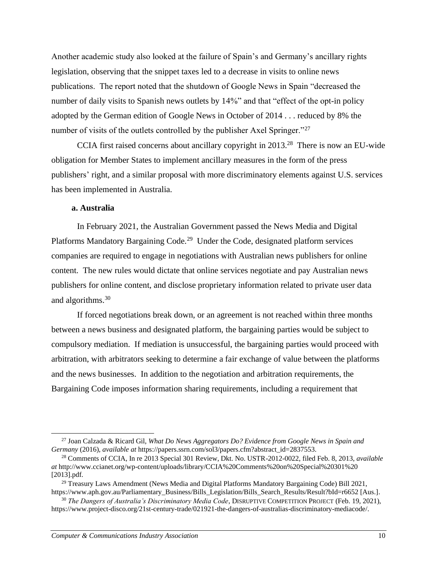Another academic study also looked at the failure of Spain's and Germany's ancillary rights legislation, observing that the snippet taxes led to a decrease in visits to online news publications. The report noted that the shutdown of Google News in Spain "decreased the number of daily visits to Spanish news outlets by 14%" and that "effect of the opt-in policy adopted by the German edition of Google News in October of 2014 . . . reduced by 8% the number of visits of the outlets controlled by the publisher Axel Springer."<sup>27</sup>

CCIA first raised concerns about ancillary copyright in  $2013<sup>28</sup>$  There is now an EU-wide obligation for Member States to implement ancillary measures in the form of the press publishers' right, and a similar proposal with more discriminatory elements against U.S. services has been implemented in Australia.

## **a. Australia**

In February 2021, the Australian Government passed the News Media and Digital Platforms Mandatory Bargaining Code.<sup>29</sup> Under the Code, designated platform services companies are required to engage in negotiations with Australian news publishers for online content. The new rules would dictate that online services negotiate and pay Australian news publishers for online content, and disclose proprietary information related to private user data and algorithms.<sup>30</sup>

If forced negotiations break down, or an agreement is not reached within three months between a news business and designated platform, the bargaining parties would be subject to compulsory mediation. If mediation is unsuccessful, the bargaining parties would proceed with arbitration, with arbitrators seeking to determine a fair exchange of value between the platforms and the news businesses. In addition to the negotiation and arbitration requirements, the Bargaining Code imposes information sharing requirements, including a requirement that

<sup>27</sup> Joan Calzada & Ricard Gil, *What Do News Aggregators Do? Evidence from Google News in Spain and Germany* (2016), *available at* https://papers.ssrn.com/sol3/papers.cfm?abstract\_id=2837553.

<sup>28</sup> Comments of CCIA, In re 2013 Special 301 Review, Dkt. No. USTR-2012-0022, filed Feb. 8, 2013, *available at* http://www.ccianet.org/wp-content/uploads/library/CCIA%20Comments%20on%20Special%20301%20 [2013].pdf.

<sup>29</sup> Treasury Laws Amendment (News Media and Digital Platforms Mandatory Bargaining Code) Bill 2021, https://www.aph.gov.au/Parliamentary\_Business/Bills\_Legislation/Bills\_Search\_Results/Result?bId=r6652 [Aus.].

<sup>30</sup> *The Dangers of Australia's Discriminatory Media Code*, DISRUPTIVE COMPETITION PROJECT (Feb. 19, 2021), https://www.project-disco.org/21st-century-trade/021921-the-dangers-of-australias-discriminatory-mediacode/.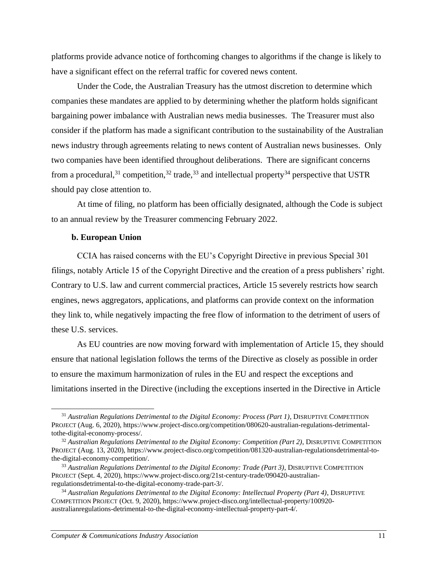platforms provide advance notice of forthcoming changes to algorithms if the change is likely to have a significant effect on the referral traffic for covered news content.

Under the Code, the Australian Treasury has the utmost discretion to determine which companies these mandates are applied to by determining whether the platform holds significant bargaining power imbalance with Australian news media businesses. The Treasurer must also consider if the platform has made a significant contribution to the sustainability of the Australian news industry through agreements relating to news content of Australian news businesses. Only two companies have been identified throughout deliberations. There are significant concerns from a procedural,  $31 \text{ competition}$ ,  $32 \text{ trade}$ ,  $33 \text{ and intellectual property}$  perspective that USTR should pay close attention to.

At time of filing, no platform has been officially designated, although the Code is subject to an annual review by the Treasurer commencing February 2022.

### **b. European Union**

CCIA has raised concerns with the EU's Copyright Directive in previous Special 301 filings, notably Article 15 of the Copyright Directive and the creation of a press publishers' right. Contrary to U.S. law and current commercial practices, Article 15 severely restricts how search engines, news aggregators, applications, and platforms can provide context on the information they link to, while negatively impacting the free flow of information to the detriment of users of these U.S. services.

As EU countries are now moving forward with implementation of Article 15, they should ensure that national legislation follows the terms of the Directive as closely as possible in order to ensure the maximum harmonization of rules in the EU and respect the exceptions and limitations inserted in the Directive (including the exceptions inserted in the Directive in Article

<sup>31</sup> *Australian Regulations Detrimental to the Digital Economy: Process (Part 1)*, DISRUPTIVE COMPETITION PROJECT (Aug. 6, 2020), https://www.project-disco.org/competition/080620-australian-regulations-detrimentaltothe-digital-economy-process/.

<sup>32</sup> *Australian Regulations Detrimental to the Digital Economy: Competition (Part 2)*, DISRUPTIVE COMPETITION PROJECT (Aug. 13, 2020), https://www.project-disco.org/competition/081320-australian-regulationsdetrimental-tothe-digital-economy-competition/.

<sup>33</sup> *Australian Regulations Detrimental to the Digital Economy: Trade (Part 3)*, DISRUPTIVE COMPETITION PROJECT (Sept. 4, 2020), https://www.project-disco.org/21st-century-trade/090420-australianregulationsdetrimental-to-the-digital-economy-trade-part-3/.

<sup>34</sup> *Australian Regulations Detrimental to the Digital Economy: Intellectual Property (Part 4)*, DISRUPTIVE COMPETITION PROJECT (Oct. 9, 2020), https://www.project-disco.org/intellectual-property/100920 australianregulations-detrimental-to-the-digital-economy-intellectual-property-part-4/.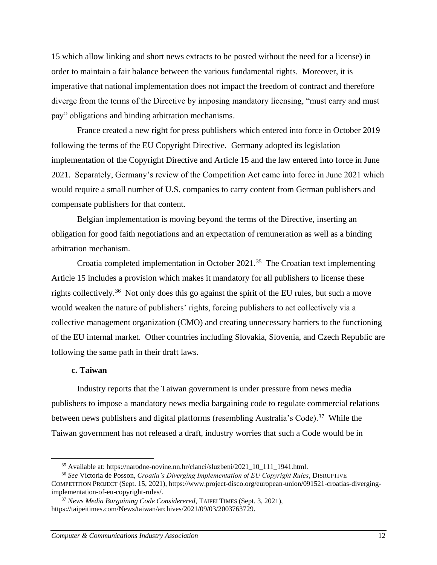15 which allow linking and short news extracts to be posted without the need for a license) in order to maintain a fair balance between the various fundamental rights. Moreover, it is imperative that national implementation does not impact the freedom of contract and therefore diverge from the terms of the Directive by imposing mandatory licensing, "must carry and must pay" obligations and binding arbitration mechanisms.

France created a new right for press publishers which entered into force in October 2019 following the terms of the EU Copyright Directive. Germany adopted its legislation implementation of the Copyright Directive and Article 15 and the law entered into force in June 2021. Separately, Germany's review of the Competition Act came into force in June 2021 which would require a small number of U.S. companies to carry content from German publishers and compensate publishers for that content.

Belgian implementation is moving beyond the terms of the Directive, inserting an obligation for good faith negotiations and an expectation of remuneration as well as a binding arbitration mechanism.

Croatia completed implementation in October  $2021$ .<sup>35</sup> The Croatian text implementing Article 15 includes a provision which makes it mandatory for all publishers to license these rights collectively.<sup>36</sup> Not only does this go against the spirit of the EU rules, but such a move would weaken the nature of publishers' rights, forcing publishers to act collectively via a collective management organization (CMO) and creating unnecessary barriers to the functioning of the EU internal market. Other countries including Slovakia, Slovenia, and Czech Republic are following the same path in their draft laws.

#### **c. Taiwan**

Industry reports that the Taiwan government is under pressure from news media publishers to impose a mandatory news media bargaining code to regulate commercial relations between news publishers and digital platforms (resembling Australia's Code). <sup>37</sup> While the Taiwan government has not released a draft, industry worries that such a Code would be in

<sup>35</sup> Available at: https://narodne-novine.nn.hr/clanci/sluzbeni/2021\_10\_111\_1941.html.

<sup>36</sup> *See* Victoria de Posson, *Croatia's Diverging Implementation of EU Copyright Rules*, DISRUPTIVE COMPETITION PROJECT (Sept. 15, 2021), https://www.project-disco.org/european-union/091521-croatias-divergingimplementation-of-eu-copyright-rules/.

<sup>37</sup> *News Media Bargaining Code Considerered*, TAIPEI TIMES (Sept. 3, 2021), https://taipeitimes.com/News/taiwan/archives/2021/09/03/2003763729.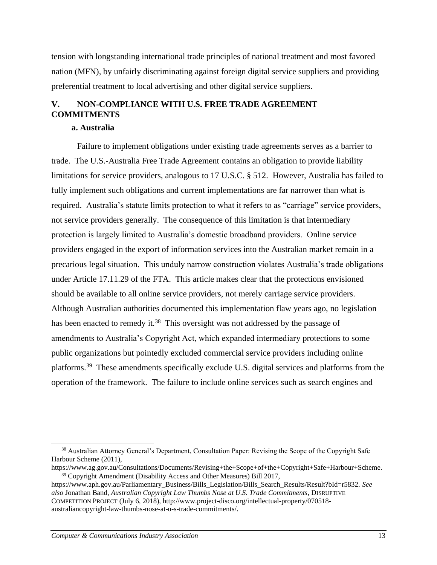tension with longstanding international trade principles of national treatment and most favored nation (MFN), by unfairly discriminating against foreign digital service suppliers and providing preferential treatment to local advertising and other digital service suppliers.

# **V. NON-COMPLIANCE WITH U.S. FREE TRADE AGREEMENT COMMITMENTS**

## **a. Australia**

Failure to implement obligations under existing trade agreements serves as a barrier to trade. The U.S.-Australia Free Trade Agreement contains an obligation to provide liability limitations for service providers, analogous to 17 U.S.C. § 512. However, Australia has failed to fully implement such obligations and current implementations are far narrower than what is required. Australia's statute limits protection to what it refers to as "carriage" service providers, not service providers generally. The consequence of this limitation is that intermediary protection is largely limited to Australia's domestic broadband providers. Online service providers engaged in the export of information services into the Australian market remain in a precarious legal situation. This unduly narrow construction violates Australia's trade obligations under Article 17.11.29 of the FTA. This article makes clear that the protections envisioned should be available to all online service providers, not merely carriage service providers. Although Australian authorities documented this implementation flaw years ago, no legislation has been enacted to remedy it.<sup>38</sup> This oversight was not addressed by the passage of amendments to Australia's Copyright Act, which expanded intermediary protections to some public organizations but pointedly excluded commercial service providers including online platforms.<sup>39</sup> These amendments specifically exclude U.S. digital services and platforms from the operation of the framework. The failure to include online services such as search engines and

<sup>&</sup>lt;sup>38</sup> Australian Attorney General's Department, Consultation Paper: Revising the Scope of the Copyright Safe Harbour Scheme (2011),

https://www.ag.gov.au/Consultations/Documents/Revising+the+Scope+of+the+Copyright+Safe+Harbour+Scheme. <sup>39</sup> Copyright Amendment (Disability Access and Other Measures) Bill 2017,

https://www.aph.gov.au/Parliamentary\_Business/Bills\_Legislation/Bills\_Search\_Results/Result?bId=r5832. *See also* Jonathan Band, *Australian Copyright Law Thumbs Nose at U.S. Trade Commitments*, DISRUPTIVE COMPETITION PROJECT (July 6, 2018), http://www.project-disco.org/intellectual-property/070518 australiancopyright-law-thumbs-nose-at-u-s-trade-commitments/.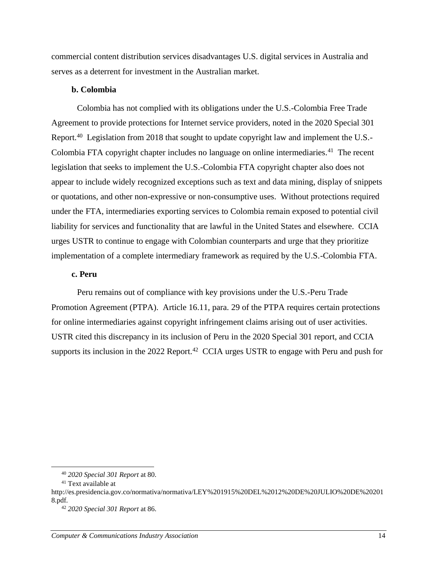commercial content distribution services disadvantages U.S. digital services in Australia and serves as a deterrent for investment in the Australian market.

#### **b. Colombia**

Colombia has not complied with its obligations under the U.S.-Colombia Free Trade Agreement to provide protections for Internet service providers, noted in the 2020 Special 301 Report.<sup>40</sup> Legislation from 2018 that sought to update copyright law and implement the U.S.-Colombia FTA copyright chapter includes no language on online intermediaries.<sup>41</sup> The recent legislation that seeks to implement the U.S.-Colombia FTA copyright chapter also does not appear to include widely recognized exceptions such as text and data mining, display of snippets or quotations, and other non-expressive or non-consumptive uses. Without protections required under the FTA, intermediaries exporting services to Colombia remain exposed to potential civil liability for services and functionality that are lawful in the United States and elsewhere. CCIA urges USTR to continue to engage with Colombian counterparts and urge that they prioritize implementation of a complete intermediary framework as required by the U.S.-Colombia FTA.

## **c. Peru**

Peru remains out of compliance with key provisions under the U.S.-Peru Trade Promotion Agreement (PTPA). Article 16.11, para. 29 of the PTPA requires certain protections for online intermediaries against copyright infringement claims arising out of user activities. USTR cited this discrepancy in its inclusion of Peru in the 2020 Special 301 report, and CCIA supports its inclusion in the 2022 Report.<sup>42</sup> CCIA urges USTR to engage with Peru and push for

<sup>40</sup> *2020 Special 301 Report* at 80.

<sup>41</sup> Text available at

http://es.presidencia.gov.co/normativa/normativa/LEY%201915%20DEL%2012%20DE%20JULIO%20DE%20201 8.pdf.

<sup>42</sup> *2020 Special 301 Report* at 86.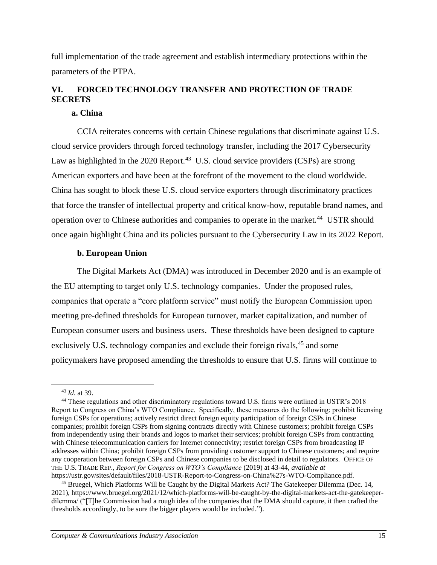full implementation of the trade agreement and establish intermediary protections within the parameters of the PTPA.

# **VI. FORCED TECHNOLOGY TRANSFER AND PROTECTION OF TRADE SECRETS**

## **a. China**

CCIA reiterates concerns with certain Chinese regulations that discriminate against U.S. cloud service providers through forced technology transfer, including the 2017 Cybersecurity Law as highlighted in the 2020 Report.<sup>43</sup> U.S. cloud service providers (CSPs) are strong American exporters and have been at the forefront of the movement to the cloud worldwide. China has sought to block these U.S. cloud service exporters through discriminatory practices that force the transfer of intellectual property and critical know-how, reputable brand names, and operation over to Chinese authorities and companies to operate in the market.<sup>44</sup> USTR should once again highlight China and its policies pursuant to the Cybersecurity Law in its 2022 Report.

## **b. European Union**

The Digital Markets Act (DMA) was introduced in December 2020 and is an example of the EU attempting to target only U.S. technology companies. Under the proposed rules, companies that operate a "core platform service" must notify the European Commission upon meeting pre-defined thresholds for European turnover, market capitalization, and number of European consumer users and business users. These thresholds have been designed to capture exclusively U.S. technology companies and exclude their foreign rivals,<sup>45</sup> and some policymakers have proposed amending the thresholds to ensure that U.S. firms will continue to

<sup>43</sup> *Id*. at 39.

<sup>44</sup> These regulations and other discriminatory regulations toward U.S. firms were outlined in USTR's 2018 Report to Congress on China's WTO Compliance. Specifically, these measures do the following: prohibit licensing foreign CSPs for operations; actively restrict direct foreign equity participation of foreign CSPs in Chinese companies; prohibit foreign CSPs from signing contracts directly with Chinese customers; prohibit foreign CSPs from independently using their brands and logos to market their services; prohibit foreign CSPs from contracting with Chinese telecommunication carriers for Internet connectivity; restrict foreign CSPs from broadcasting IP addresses within China; prohibit foreign CSPs from providing customer support to Chinese customers; and require any cooperation between foreign CSPs and Chinese companies to be disclosed in detail to regulators. OFFICE OF THE U.S. TRADE REP., *Report for Congress on WTO's Compliance* (2019) at 43-44, *available at* https://ustr.gov/sites/default/files/2018-USTR-Report-to-Congress-on-China%27s-WTO-Compliance.pdf.

<sup>45</sup> Bruegel, Which Platforms Will be Caught by the Digital Markets Act? The Gatekeeper Dilemma (Dec. 14, 2021), https://www.bruegel.org/2021/12/which-platforms-will-be-caught-by-the-digital-markets-act-the-gatekeeperdilemma/ ("[T]he Commission had a rough idea of the companies that the DMA should capture, it then crafted the thresholds accordingly, to be sure the bigger players would be included.").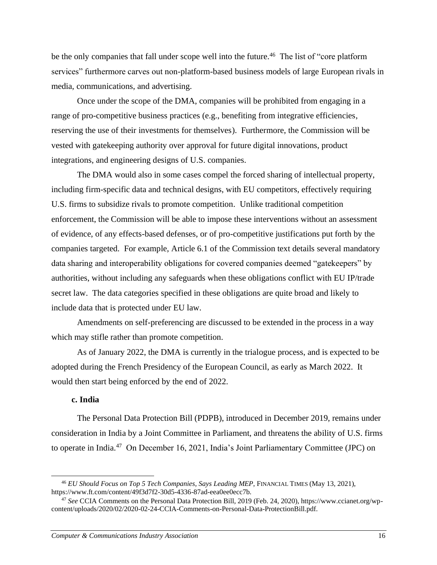be the only companies that fall under scope well into the future.<sup>46</sup> The list of "core platform services" furthermore carves out non-platform-based business models of large European rivals in media, communications, and advertising.

Once under the scope of the DMA, companies will be prohibited from engaging in a range of pro-competitive business practices (e.g., benefiting from integrative efficiencies, reserving the use of their investments for themselves). Furthermore, the Commission will be vested with gatekeeping authority over approval for future digital innovations, product integrations, and engineering designs of U.S. companies.

The DMA would also in some cases compel the forced sharing of intellectual property, including firm-specific data and technical designs, with EU competitors, effectively requiring U.S. firms to subsidize rivals to promote competition. Unlike traditional competition enforcement, the Commission will be able to impose these interventions without an assessment of evidence, of any effects-based defenses, or of pro-competitive justifications put forth by the companies targeted. For example, Article 6.1 of the Commission text details several mandatory data sharing and interoperability obligations for covered companies deemed "gatekeepers" by authorities, without including any safeguards when these obligations conflict with EU IP/trade secret law. The data categories specified in these obligations are quite broad and likely to include data that is protected under EU law.

Amendments on self-preferencing are discussed to be extended in the process in a way which may stifle rather than promote competition.

As of January 2022, the DMA is currently in the trialogue process, and is expected to be adopted during the French Presidency of the European Council, as early as March 2022. It would then start being enforced by the end of 2022.

## **c. India**

The Personal Data Protection Bill (PDPB), introduced in December 2019, remains under consideration in India by a Joint Committee in Parliament, and threatens the ability of U.S. firms to operate in India.<sup>47</sup> On December 16, 2021, India's Joint Parliamentary Committee (JPC) on

<sup>46</sup> *EU Should Focus on Top 5 Tech Companies, Says Leading MEP*, FINANCIAL TIMES (May 13, 2021), https://www.ft.com/content/49f3d7f2-30d5-4336-87ad-eea0ee0ecc7b.

<sup>47</sup> *See* CCIA Comments on the Personal Data Protection Bill, 2019 (Feb. 24, 2020), https://www.ccianet.org/wpcontent/uploads/2020/02/2020-02-24-CCIA-Comments-on-Personal-Data-ProtectionBill.pdf.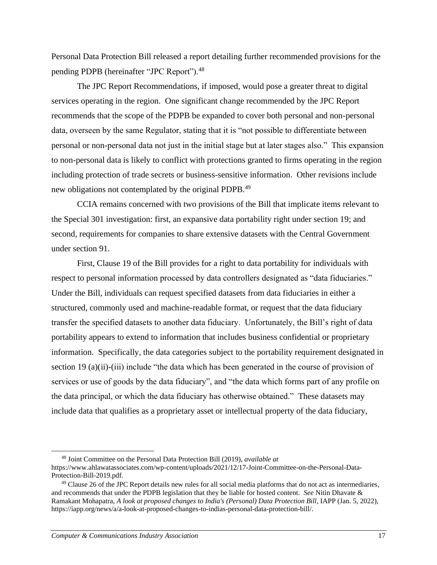Personal Data Protection Bill released a report detailing further recommended provisions for the pending PDPB (hereinafter "JPC Report").<sup>48</sup>

The JPC Report Recommendations, if imposed, would pose a greater threat to digital services operating in the region. One significant change recommended by the JPC Report recommends that the scope of the PDPB be expanded to cover both personal and non-personal data, overseen by the same Regulator, stating that it is "not possible to differentiate between personal or non-personal data not just in the initial stage but at later stages also." This expansion to non-personal data is likely to conflict with protections granted to firms operating in the region including protection of trade secrets or business-sensitive information. Other revisions include new obligations not contemplated by the original PDPB.<sup>49</sup>

CCIA remains concerned with two provisions of the Bill that implicate items relevant to the Special 301 investigation: first, an expansive data portability right under section 19; and second, requirements for companies to share extensive datasets with the Central Government under section 91.

First, Clause 19 of the Bill provides for a right to data portability for individuals with respect to personal information processed by data controllers designated as "data fiduciaries." Under the Bill, individuals can request specified datasets from data fiduciaries in either a structured, commonly used and machine-readable format, or request that the data fiduciary transfer the specified datasets to another data fiduciary. Unfortunately, the Bill's right of data portability appears to extend to information that includes business confidential or proprietary information. Specifically, the data categories subject to the portability requirement designated in section 19 (a)(ii)-(iii) include "the data which has been generated in the course of provision of services or use of goods by the data fiduciary", and "the data which forms part of any profile on the data principal, or which the data fiduciary has otherwise obtained." These datasets may include data that qualifies as a proprietary asset or intellectual property of the data fiduciary,

<sup>48</sup> Joint Committee on the Personal Data Protection Bill (2019), *available at* https://www.ahlawatassociates.com/wp-content/uploads/2021/12/17-Joint-Committee-on-the-Personal-Data-Protection-Bill-2019.pdf.

<sup>49</sup> Clause 26 of the JPC Report details new rules for all social media platforms that do not act as intermediaries, and recommends that under the PDPB legislation that they be liable for hosted content. *See* Nitin Dhavate & Ramakant Mohapatra, *A look at proposed changes to India's (Personal) Data Protection Bill*, IAPP (Jan. 5, 2022), https://iapp.org/news/a/a-look-at-proposed-changes-to-indias-personal-data-protection-bill/.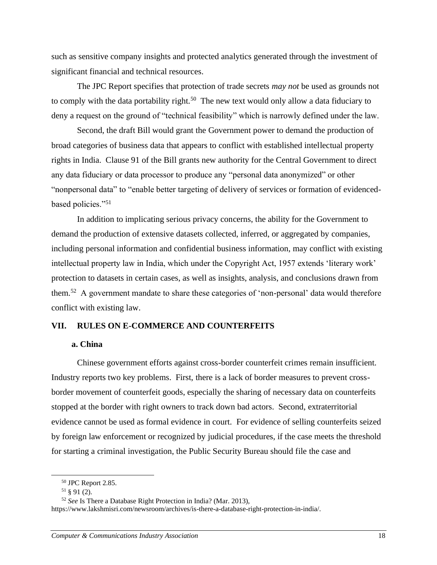such as sensitive company insights and protected analytics generated through the investment of significant financial and technical resources.

The JPC Report specifies that protection of trade secrets *may not* be used as grounds not to comply with the data portability right.<sup>50</sup> The new text would only allow a data fiduciary to deny a request on the ground of "technical feasibility" which is narrowly defined under the law.

Second, the draft Bill would grant the Government power to demand the production of broad categories of business data that appears to conflict with established intellectual property rights in India. Clause 91 of the Bill grants new authority for the Central Government to direct any data fiduciary or data processor to produce any "personal data anonymized" or other "nonpersonal data" to "enable better targeting of delivery of services or formation of evidencedbased policies."<sup>51</sup>

In addition to implicating serious privacy concerns, the ability for the Government to demand the production of extensive datasets collected, inferred, or aggregated by companies, including personal information and confidential business information, may conflict with existing intellectual property law in India, which under the Copyright Act, 1957 extends 'literary work' protection to datasets in certain cases, as well as insights, analysis, and conclusions drawn from them.<sup>52</sup> A government mandate to share these categories of 'non-personal' data would therefore conflict with existing law.

## **VII. RULES ON E-COMMERCE AND COUNTERFEITS**

#### **a. China**

Chinese government efforts against cross-border counterfeit crimes remain insufficient. Industry reports two key problems. First, there is a lack of border measures to prevent crossborder movement of counterfeit goods, especially the sharing of necessary data on counterfeits stopped at the border with right owners to track down bad actors. Second, extraterritorial evidence cannot be used as formal evidence in court. For evidence of selling counterfeits seized by foreign law enforcement or recognized by judicial procedures, if the case meets the threshold for starting a criminal investigation, the Public Security Bureau should file the case and

<sup>50</sup> JPC Report 2.85.

<sup>51</sup> § 91 (2).

<sup>52</sup> *See* Is There a Database Right Protection in India? (Mar. 2013),

https://www.lakshmisri.com/newsroom/archives/is-there-a-database-right-protection-in-india/.